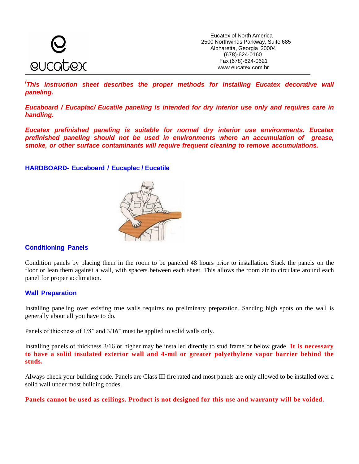

*<sup>i</sup>This instruction sheet describes the proper methods for installing Eucatex decorative wall paneling.*

*Eucaboard / Eucaplac/ Eucatile paneling is intended for dry interior use only and requires care in handling.*

*Eucatex prefinished paneling is suitable for normal dry interior use environments. Eucatex prefinished paneling should not be used in environments where an accumulation of grease, smoke, or other surface contaminants will require frequent cleaning to remove accumulations.*

**HARDBOARD- Eucaboard / Eucaplac / Eucatile**



# **Conditioning Panels**

Condition panels by placing them in the room to be paneled 48 hours prior to installation. Stack the panels on the floor or lean them against a wall, with spacers between each sheet. This allows the room air to circulate around each panel for proper acclimation.

# **Wall Preparation**

Installing paneling over existing true walls requires no preliminary preparation. Sanding high spots on the wall is generally about all you have to do.

Panels of thickness of 1/8" and 3/16" must be applied to solid walls only.

Installing panels of thickness 3/16 or higher may be installed directly to stud frame or below grade. **It is necessary to have a solid insulated exterior wall and 4-mil or greater polyethylene vapor barrier behind the studs.**

Always check your building code. Panels are Class III fire rated and most panels are only allowed to be installed over a solid wall under most building codes.

**Panels cannot be used as ceilings. Product is not designed for this use and warranty will be voided.**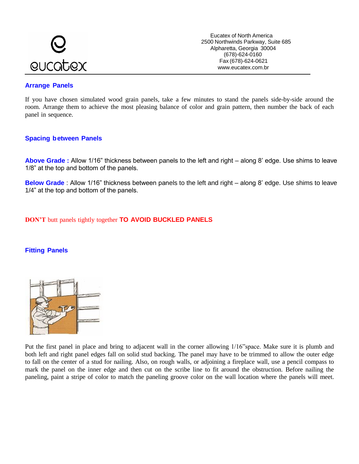

Eucatex of North America 2500 Northwinds Parkway, Suite 685 Alpharetta, Georgia 30004 (678)-624-0160 Fax (678)-624-0621 www.eucatex.com.br

# **Arrange Panels**

If you have chosen simulated wood grain panels, take a few minutes to stand the panels side-by-side around the room. Arrange them to achieve the most pleasing balance of color and grain pattern, then number the back of each panel in sequence.

# **Spacing between Panels**

**Above Grade :** Allow 1/16" thickness between panels to the left and right – along 8' edge. Use shims to leave 1/8" at the top and bottom of the panels.

**Below Grade** : Allow 1/16" thickness between panels to the left and right – along 8' edge. Use shims to leave 1/4" at the top and bottom of the panels.

# **DON'T** butt panels tightly together **TO AVOID BUCKLED PANELS**

# **Fitting Panels**



Put the first panel in place and bring to adjacent wall in the corner allowing 1/16"space. Make sure it is plumb and both left and right panel edges fall on solid stud backing. The panel may have to be trimmed to allow the outer edge to fall on the center of a stud for nailing. Also, on rough walls, or adjoining a fireplace wall, use a pencil compass to mark the panel on the inner edge and then cut on the scribe line to fit around the obstruction. Before nailing the paneling, paint a stripe of color to match the paneling groove color on the wall location where the panels will meet.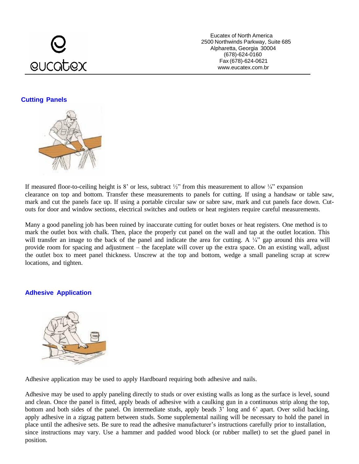# eucatex

Eucatex of North America 2500 Northwinds Parkway, Suite 685 Alpharetta, Georgia 30004 (678)-624-0160 Fax (678)-624-0621 www.eucatex.com.br

# **Cutting Panels**



If measured floor-to-ceiling height is 8' or less, subtract  $\frac{1}{2}$ " from this measurement to allow  $\frac{1}{4}$ " expansion clearance on top and bottom. Transfer these measurements to panels for cutting. If using a handsaw or table saw, mark and cut the panels face up. If using a portable circular saw or sabre saw, mark and cut panels face down. Cutouts for door and window sections, electrical switches and outlets or heat registers require careful measurements.

Many a good paneling job has been ruined by inaccurate cutting for outlet boxes or heat registers. One method is to mark the outlet box with chalk. Then, place the properly cut panel on the wall and tap at the outlet location. This will transfer an image to the back of the panel and indicate the area for cutting. A ¼" gap around this area will provide room for spacing and adjustment – the faceplate will cover up the extra space. On an existing wall, adjust the outlet box to meet panel thickness. Unscrew at the top and bottom, wedge a small paneling scrap at screw locations, and tighten.

# **Adhesive Application**



Adhesive application may be used to apply Hardboard requiring both adhesive and nails.

Adhesive may be used to apply paneling directly to studs or over existing walls as long as the surface is level, sound and clean. Once the panel is fitted, apply beads of adhesive with a caulking gun in a continuous strip along the top, bottom and both sides of the panel. On intermediate studs, apply beads 3' long and 6' apart. Over solid backing, apply adhesive in a zigzag pattern between studs. Some supplemental nailing will be necessary to hold the panel in place until the adhesive sets. Be sure to read the adhesive manufacturer's instructions carefully prior to installation, since instructions may vary. Use a hammer and padded wood block (or rubber mallet) to set the glued panel in position.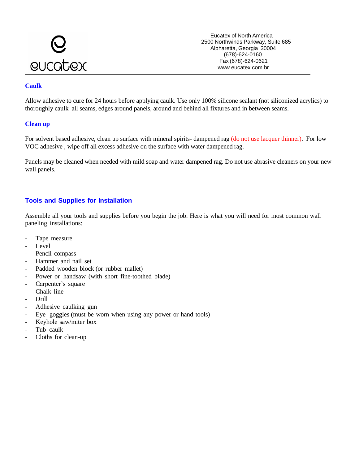

Eucatex of North America 2500 Northwinds Parkway, Suite 685 Alpharetta, Georgia 30004 (678)-624-0160 Fax (678)-624-0621 www.eucatex.com.br

#### **Caulk**

Allow adhesive to cure for 24 hours before applying caulk. Use only 100% silicone sealant (not siliconized acrylics) to thoroughly caulk all seams, edges around panels, around and behind all fixtures and in between seams.

#### **Clean up**

For solvent based adhesive, clean up surface with mineral spirits- dampened rag (do not use lacquer thinner). For low VOC adhesive , wipe off all excess adhesive on the surface with water dampened rag.

Panels may be cleaned when needed with mild soap and water dampened rag. Do not use abrasive cleaners on your new wall panels.

# **Tools and Supplies for Installation**

Assemble all your tools and supplies before you begin the job. Here is what you will need for most common wall paneling installations:

- Tape measure
- Level
- Pencil compass
- Hammer and nail set
- Padded wooden block (or rubber mallet)
- Power or handsaw (with short fine-toothed blade)
- Carpenter's square
- Chalk line
- Drill
- Adhesive caulking gun
- Eye goggles (must be worn when using any power or hand tools)
- Keyhole saw/miter box
- Tub caulk
- Cloths for clean-up